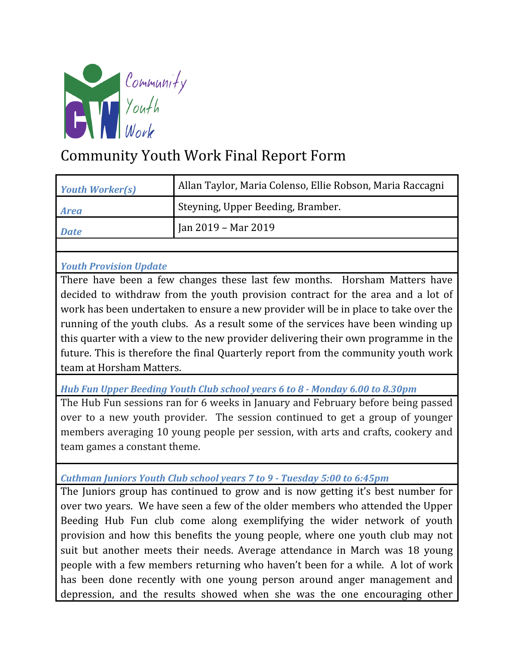

## Community Youth Work Final Report Form

| <b>Youth Worker(s)</b>                                                              | Allan Taylor, Maria Colenso, Ellie Robson, Maria Raccagni |
|-------------------------------------------------------------------------------------|-----------------------------------------------------------|
| <b>Area</b>                                                                         | Steyning, Upper Beeding, Bramber.                         |
| <b>Date</b>                                                                         | Jan 2019 - Mar 2019                                       |
|                                                                                     |                                                           |
| <b>Youth Provision Update</b>                                                       |                                                           |
| There have been a few changes these last few months. Horsham Matters have           |                                                           |
| decided to withdraw from the youth provision contract for the area and a lot of     |                                                           |
| work has been undertaken to ensure a new provider will be in place to take over the |                                                           |
| running of the youth clubs. As a result some of the services have been winding up   |                                                           |
| this quarter with a view to the new provider delivering their own programme in the  |                                                           |
| future. This is therefore the final Quarterly report from the community youth work  |                                                           |
| team at Horsham Matters.                                                            |                                                           |
| Hub Fun Upper Beeding Youth Club school years 6 to 8 - Monday 6.00 to 8.30pm        |                                                           |
| The Hub Fun sessions ran for 6 weeks in January and February before being passed    |                                                           |

over to a new youth provider. The session continued to get a group of younger members averaging 10 young people per session, with arts and crafts, cookery and team games a constant theme.

*Cuthman Juniors Youth Club school years 7 to 9 - Tuesday 5:00 to 6:45pm*

The Juniors group has continued to grow and is now getting it's best number for over two years. We have seen a few of the older members who attended the Upper Beeding Hub Fun club come along exemplifying the wider network of youth provision and how this benefits the young people, where one youth club may not suit but another meets their needs. Average attendance in March was 18 young people with a few members returning who haven't been for a while. A lot of work has been done recently with one young person around anger management and depression, and the results showed when she was the one encouraging other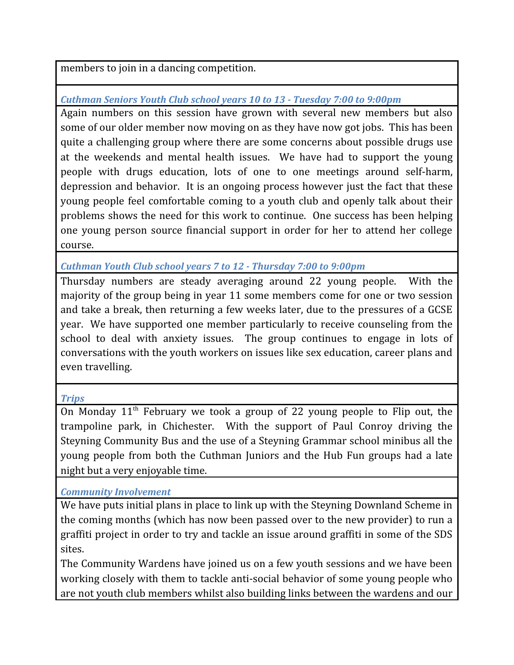members to join in a dancing competition.

*Cuthman Seniors Youth Club school years 10 to 13 - Tuesday 7:00 to 9:00pm*

Again numbers on this session have grown with several new members but also some of our older member now moving on as they have now got jobs. This has been quite a challenging group where there are some concerns about possible drugs use at the weekends and mental health issues. We have had to support the young people with drugs education, lots of one to one meetings around self-harm, depression and behavior. It is an ongoing process however just the fact that these young people feel comfortable coming to a youth club and openly talk about their problems shows the need for this work to continue. One success has been helping one young person source financial support in order for her to attend her college course.

*Cuthman Youth Club school years 7 to 12 - Thursday 7:00 to 9:00pm*

Thursday numbers are steady averaging around 22 young people. With the majority of the group being in year 11 some members come for one or two session and take a break, then returning a few weeks later, due to the pressures of a GCSE year. We have supported one member particularly to receive counseling from the school to deal with anxiety issues. The group continues to engage in lots of conversations with the youth workers on issues like sex education, career plans and even travelling.

## *Trips*

On Monday  $11<sup>th</sup>$  February we took a group of 22 young people to Flip out, the trampoline park, in Chichester. With the support of Paul Conroy driving the Steyning Community Bus and the use of a Steyning Grammar school minibus all the young people from both the Cuthman Juniors and the Hub Fun groups had a late night but a very enjoyable time.

*Community Involvement*

We have puts initial plans in place to link up with the Steyning Downland Scheme in the coming months (which has now been passed over to the new provider) to run a graffiti project in order to try and tackle an issue around graffiti in some of the SDS sites.

The Community Wardens have joined us on a few youth sessions and we have been working closely with them to tackle anti-social behavior of some young people who are not youth club members whilst also building links between the wardens and our